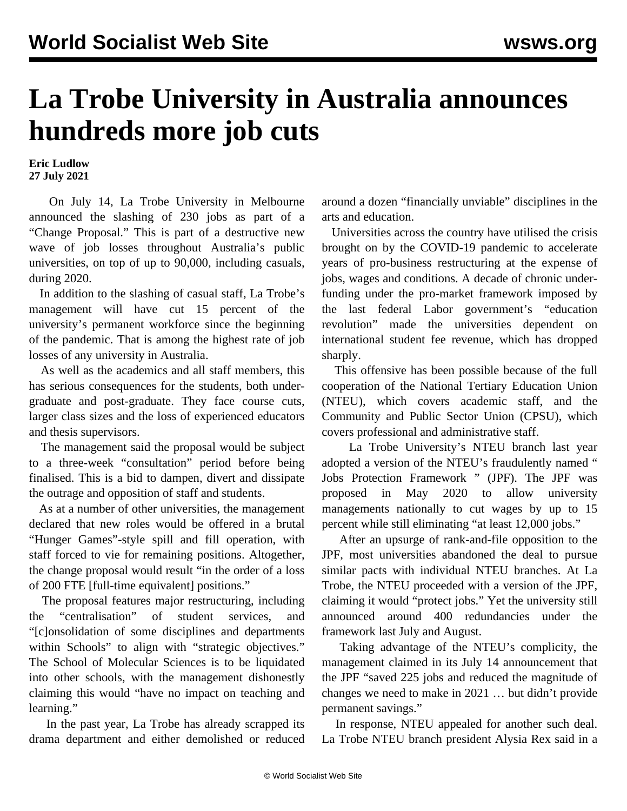## **La Trobe University in Australia announces hundreds more job cuts**

**Eric Ludlow 27 July 2021**

 On July 14, La Trobe University in Melbourne announced the slashing of 230 jobs as part of a "Change Proposal." This is part of a destructive new wave of job losses throughout Australia's public universities, on top of up to 90,000, including casuals, during 2020.

 In addition to the slashing of casual staff, La Trobe's management will have cut 15 percent of the university's permanent workforce since the beginning of the pandemic. That is among the highest rate of job losses of any university in Australia.

 As well as the academics and all staff members, this has serious consequences for the students, both undergraduate and post-graduate. They face course cuts, larger class sizes and the loss of experienced educators and thesis supervisors.

 The management said the proposal would be subject to a three-week "consultation" period before being finalised. This is a bid to dampen, divert and dissipate the outrage and opposition of staff and students.

 As at a number of other universities, the management declared that new roles would be offered in a brutal "Hunger Games"-style spill and fill operation, with staff forced to vie for remaining positions. Altogether, the change proposal would result "in the order of a loss of 200 FTE [full-time equivalent] positions."

 The proposal features major restructuring, including the "centralisation" of student services, and "[c]onsolidation of some disciplines and departments within Schools" to align with "strategic objectives." The School of Molecular Sciences is to be liquidated into other schools, with the management dishonestly claiming this would "have no impact on teaching and learning."

 In the past year, La Trobe has already [scrapped its](/en/articles/2021/03/09/arts-m09.html) [drama department](/en/articles/2021/03/09/arts-m09.html) and either demolished or reduced around a dozen "financially unviable" disciplines in the [arts and education.](/en/articles/2020/11/24/unis-n24.html)

 Universities across the country have utilised the crisis brought on by the COVID-19 pandemic to accelerate years of pro-business restructuring at the expense of jobs, wages and conditions. A decade of chronic underfunding under the pro-market framework imposed by the last federal Labor government's "education revolution" made the universities dependent on international student fee revenue, which has dropped sharply.

 This offensive has been possible because of the full cooperation of the National Tertiary Education Union (NTEU), which covers academic staff, and the Community and Public Sector Union (CPSU), which covers professional and administrative staff.

 La Trobe University's NTEU branch last year adopted a version of the NTEU's fraudulently named " [Jobs Protection Framework](/en/articles/2020/05/13/nteu-m13.html) " (JPF). The JPF was proposed in May 2020 to allow university managements nationally to cut wages by up to 15 percent while still eliminating "at least 12,000 jobs."

 After an upsurge of rank-and-file opposition to the JPF, most universities abandoned the deal to pursue similar pacts with individual NTEU branches. At La Trobe, [the NTEU proceeded with a version of the JPF,](/en/articles/2020/12/18/unis-d18.html) claiming it would "protect jobs." Yet the university still announced around 400 redundancies under the framework last July and August.

 Taking advantage of the NTEU's complicity, the management claimed in its July 14 announcement that the JPF "saved 225 jobs and reduced the magnitude of changes we need to make in 2021 … but didn't provide permanent savings."

 In response, NTEU appealed for another such deal. La Trobe NTEU branch president Alysia Rex said in a